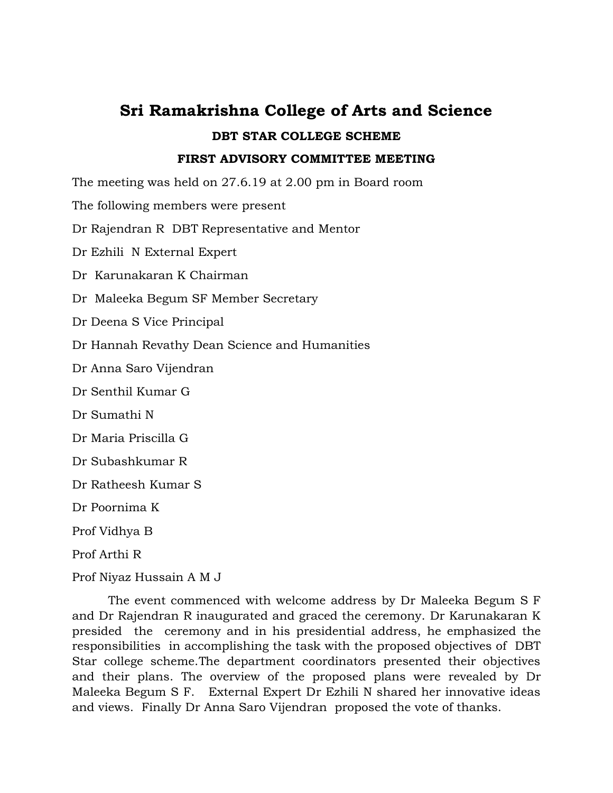# **Sri Ramakrishna College of Arts and Science DBT STAR COLLEGE SCHEME FIRST ADVISORY COMMITTEE MEETING**

The meeting was held on 27.6.19 at 2.00 pm in Board room

The following members were present

Dr Rajendran R DBT Representative and Mentor

Dr Ezhili N External Expert

Dr Karunakaran K Chairman

Dr Maleeka Begum SF Member Secretary

Dr Deena S Vice Principal

Dr Hannah Revathy Dean Science and Humanities

Dr Anna Saro Vijendran

Dr Senthil Kumar G

Dr Sumathi N

Dr Maria Priscilla G

Dr Subashkumar R

Dr Ratheesh Kumar S

Dr Poornima K

Prof Vidhya B

Prof Arthi R

Prof Niyaz Hussain A M J

The event commenced with welcome address by Dr Maleeka Begum S F and Dr Rajendran R inaugurated and graced the ceremony. Dr Karunakaran K presided the ceremony and in his presidential address, he emphasized the responsibilities in accomplishing the task with the proposed objectives of DBT Star college scheme.The department coordinators presented their objectives and their plans. The overview of the proposed plans were revealed by Dr Maleeka Begum S F. External Expert Dr Ezhili N shared her innovative ideas and views. Finally Dr Anna Saro Vijendran proposed the vote of thanks.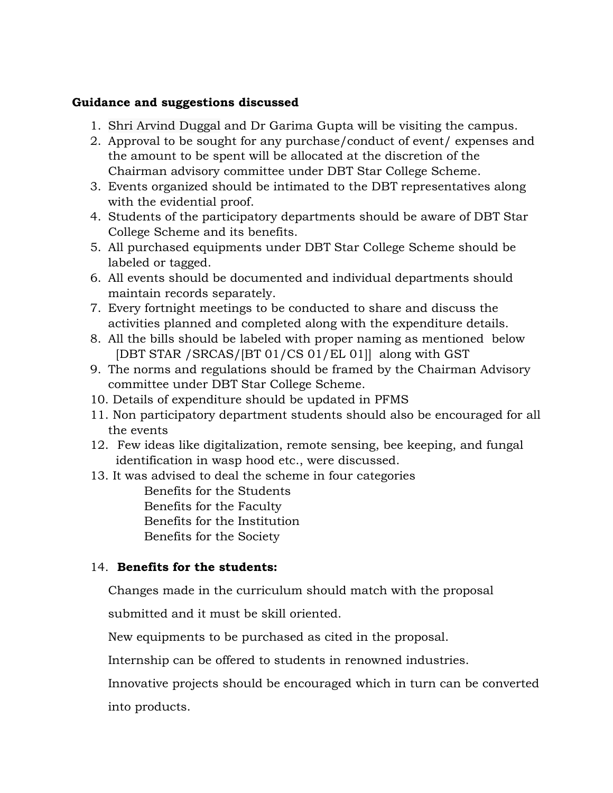#### **Guidance and suggestions discussed**

- 1. Shri Arvind Duggal and Dr Garima Gupta will be visiting the campus.
- 2. Approval to be sought for any purchase/conduct of event/ expenses and the amount to be spent will be allocated at the discretion of the Chairman advisory committee under DBT Star College Scheme.
- 3. Events organized should be intimated to the DBT representatives along with the evidential proof.
- 4. Students of the participatory departments should be aware of DBT Star College Scheme and its benefits.
- 5. All purchased equipments under DBT Star College Scheme should be labeled or tagged.
- 6. All events should be documented and individual departments should maintain records separately.
- 7. Every fortnight meetings to be conducted to share and discuss the activities planned and completed along with the expenditure details.
- 8. All the bills should be labeled with proper naming as mentioned below [DBT STAR /SRCAS/[BT 01/CS 01/EL 01]] along with GST
- 9. The norms and regulations should be framed by the Chairman Advisory committee under DBT Star College Scheme.
- 10. Details of expenditure should be updated in PFMS
- 11. Non participatory department students should also be encouraged for all the events
- 12. Few ideas like digitalization, remote sensing, bee keeping, and fungal identification in wasp hood etc., were discussed.
- 13. It was advised to deal the scheme in four categories Benefits for the Students Benefits for the Faculty Benefits for the Institution Benefits for the Society

## 14. **Benefits for the students:**

Changes made in the curriculum should match with the proposal

submitted and it must be skill oriented.

New equipments to be purchased as cited in the proposal.

Internship can be offered to students in renowned industries.

Innovative projects should be encouraged which in turn can be converted into products.